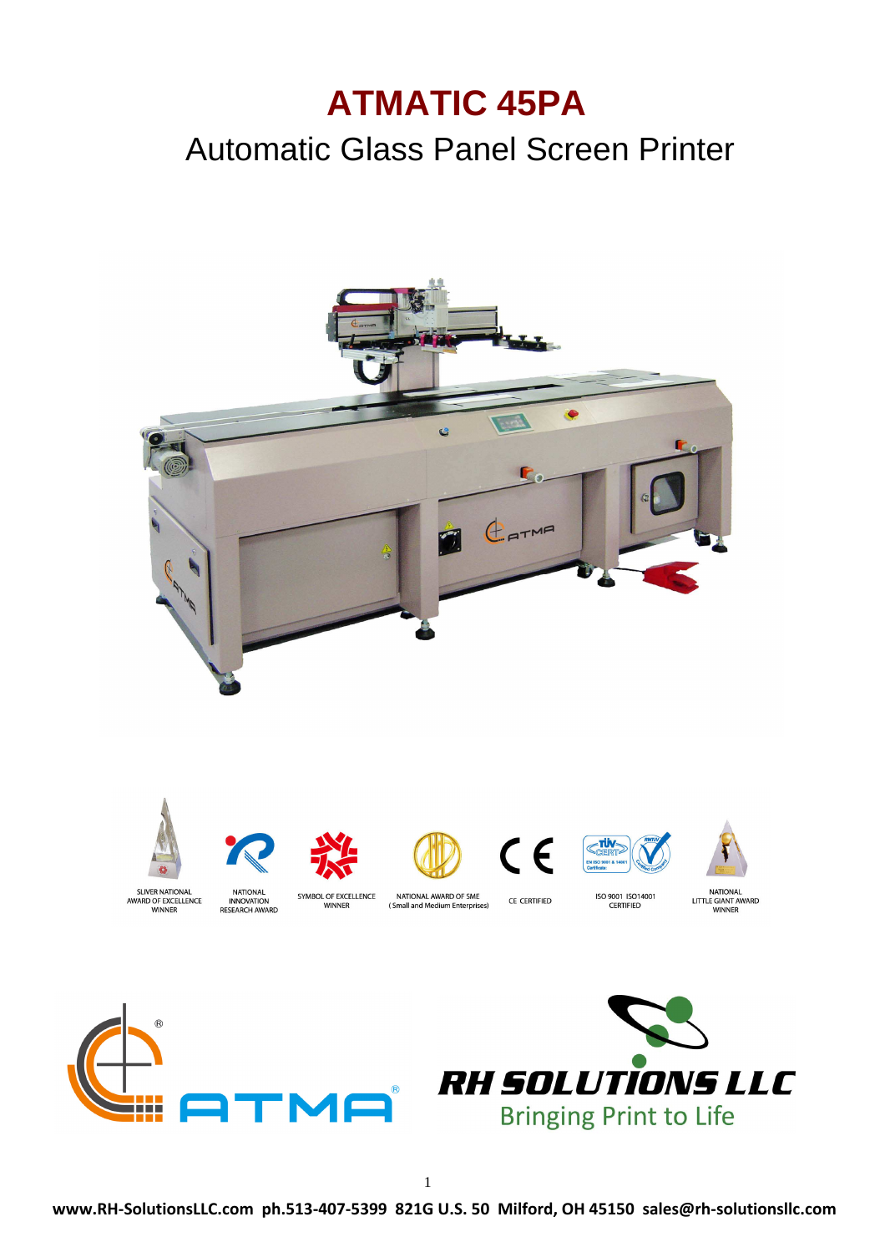# **ATMATIC 45PA**

# Automatic Glass Panel Screen Printer



**Bringing Print to Life** 

n n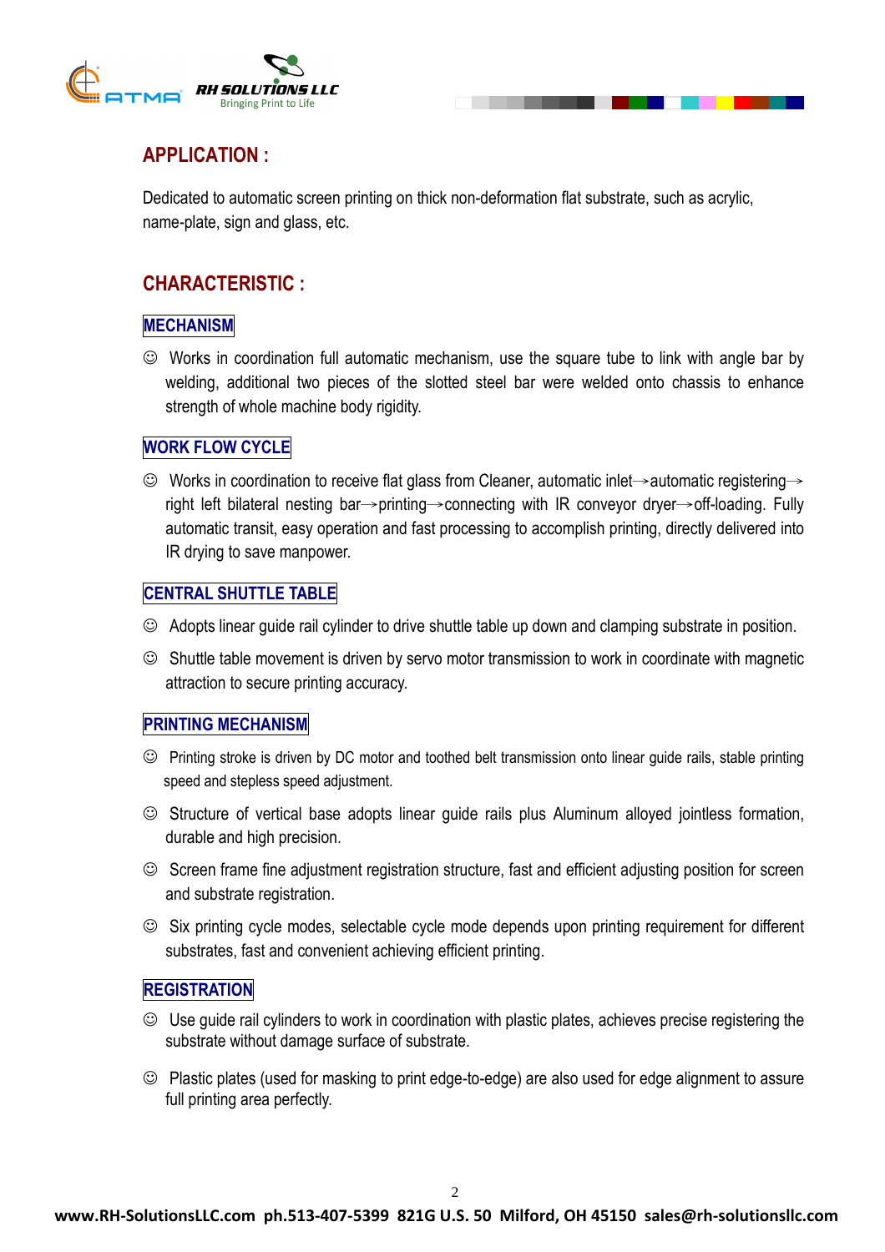

# **APPLICATION :**

Dedicated to automatic screen printing on thick non-deformation flat substrate, such as acrylic, name-plate, sign and glass, etc.

## **CHARACTERISTIC :**

#### **MECHANISM**

☺ Works in coordination full automatic mechanism, use the square tube to link with angle bar by welding, additional two pieces of the slotted steel bar were welded onto chassis to enhance strength of whole machine body rigidity.

### **WORK FLOW CYCLE**

☺ Works in coordination to receive flat glass from Cleaner, automatic inlet→automatic registering→ right left bilateral nesting bar→printing→connecting with IR conveyor dryer→off-loading. Fully automatic transit, easy operation and fast processing to accomplish printing, directly delivered into IR drying to save manpower.

#### **CENTRAL SHUTTLE TABLE**

- ☺ Adopts linear guide rail cylinder to drive shuttle table up down and clamping substrate in position.
- ☺ Shuttle table movement is driven by servo motor transmission to work in coordinate with magnetic attraction to secure printing accuracy.

#### **PRINTING MECHANISM**

- ☺ Printing stroke is driven by DC motor and toothed belt transmission onto linear guide rails, stable printing speed and stepless speed adjustment.
- ☺ Structure of vertical base adopts linear guide rails plus Aluminum alloyed jointless formation, durable and high precision.
- ☺ Screen frame fine adjustment registration structure, fast and efficient adjusting position for screen and substrate registration.
- ☺ Six printing cycle modes, selectable cycle mode depends upon printing requirement for different substrates, fast and convenient achieving efficient printing.

#### **REGISTRATION**

- ☺ Use guide rail cylinders to work in coordination with plastic plates, achieves precise registering the substrate without damage surface of substrate.
- ☺ Plastic plates (used for masking to print edge-to-edge) are also used for edge alignment to assure full printing area perfectly.